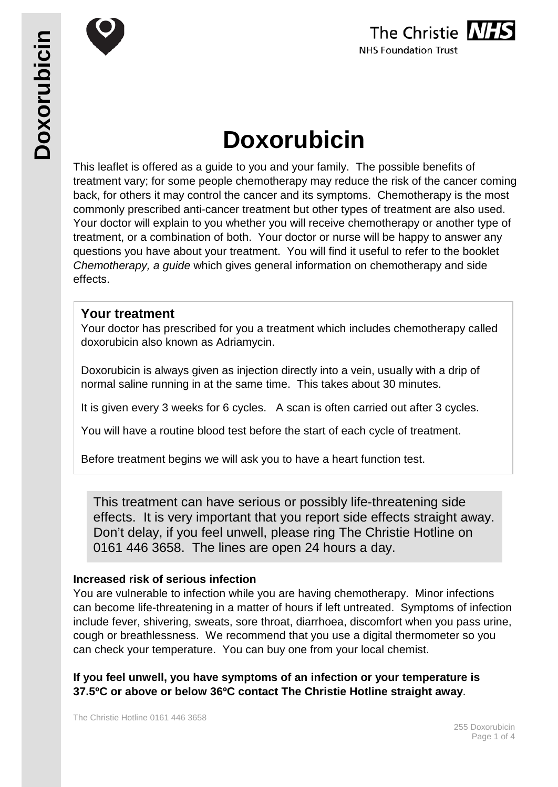



# **Doxorubicin**

This leaflet is offered as a guide to you and your family. The possible benefits of treatment vary; for some people chemotherapy may reduce the risk of the cancer coming back, for others it may control the cancer and its symptoms. Chemotherapy is the most commonly prescribed anti-cancer treatment but other types of treatment are also used. Your doctor will explain to you whether you will receive chemotherapy or another type of treatment, or a combination of both. Your doctor or nurse will be happy to answer any questions you have about your treatment. You will find it useful to refer to the booklet *Chemotherapy, a guide* which gives general information on chemotherapy and side effects.

#### **Your treatment**

Your doctor has prescribed for you a treatment which includes chemotherapy called doxorubicin also known as Adriamycin.

Doxorubicin is always given as injection directly into a vein, usually with a drip of normal saline running in at the same time. This takes about 30 minutes.

It is given every 3 weeks for 6 cycles. A scan is often carried out after 3 cycles.

You will have a routine blood test before the start of each cycle of treatment.

Before treatment begins we will ask you to have a heart function test.

This treatment can have serious or possibly life-threatening side effects. It is very important that you report side effects straight away. Don't delay, if you feel unwell, please ring The Christie Hotline on 0161 446 3658. The lines are open 24 hours a day.

#### **Increased risk of serious infection**

You are vulnerable to infection while you are having chemotherapy. Minor infections can become life-threatening in a matter of hours if left untreated. Symptoms of infection include fever, shivering, sweats, sore throat, diarrhoea, discomfort when you pass urine, cough or breathlessness. We recommend that you use a digital thermometer so you can check your temperature. You can buy one from your local chemist.

**If you feel unwell, you have symptoms of an infection or your temperature is 37.5ºC or above or below 36ºC contact The Christie Hotline straight away**.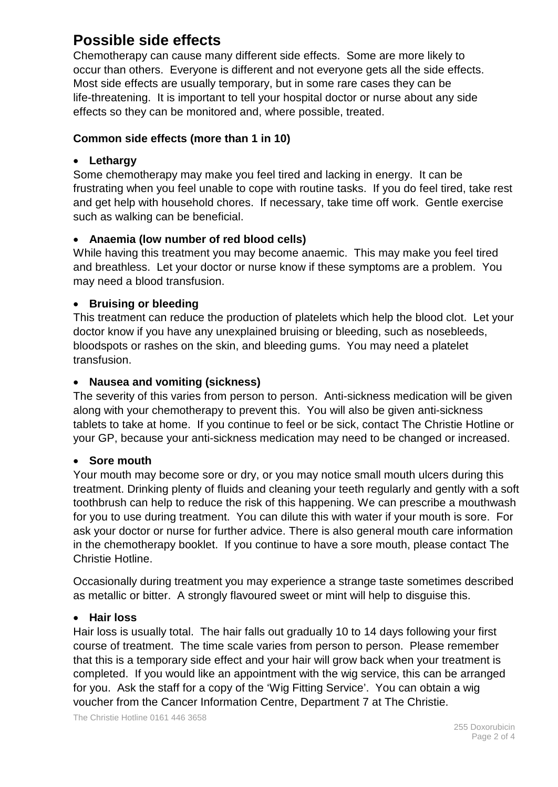## **Possible side effects**

Chemotherapy can cause many different side effects. Some are more likely to occur than others. Everyone is different and not everyone gets all the side effects. Most side effects are usually temporary, but in some rare cases they can be life-threatening. It is important to tell your hospital doctor or nurse about any side effects so they can be monitored and, where possible, treated.

#### **Common side effects (more than 1 in 10)**

#### • **Lethargy**

Some chemotherapy may make you feel tired and lacking in energy. It can be frustrating when you feel unable to cope with routine tasks. If you do feel tired, take rest and get help with household chores. If necessary, take time off work. Gentle exercise such as walking can be beneficial.

#### • **Anaemia (low number of red blood cells)**

While having this treatment you may become anaemic. This may make you feel tired and breathless. Let your doctor or nurse know if these symptoms are a problem. You may need a blood transfusion.

#### • **Bruising or bleeding**

This treatment can reduce the production of platelets which help the blood clot. Let your doctor know if you have any unexplained bruising or bleeding, such as nosebleeds, bloodspots or rashes on the skin, and bleeding gums. You may need a platelet transfusion.

#### • **Nausea and vomiting (sickness)**

The severity of this varies from person to person. Anti-sickness medication will be given along with your chemotherapy to prevent this. You will also be given anti-sickness tablets to take at home. If you continue to feel or be sick, contact The Christie Hotline or your GP, because your anti-sickness medication may need to be changed or increased.

#### • **Sore mouth**

Your mouth may become sore or dry, or you may notice small mouth ulcers during this treatment. Drinking plenty of fluids and cleaning your teeth regularly and gently with a soft toothbrush can help to reduce the risk of this happening. We can prescribe a mouthwash for you to use during treatment. You can dilute this with water if your mouth is sore. For ask your doctor or nurse for further advice. There is also general mouth care information in the chemotherapy booklet. If you continue to have a sore mouth, please contact The Christie Hotline.

Occasionally during treatment you may experience a strange taste sometimes described as metallic or bitter. A strongly flavoured sweet or mint will help to disguise this.

#### • **Hair loss**

Hair loss is usually total. The hair falls out gradually 10 to 14 days following your first course of treatment. The time scale varies from person to person. Please remember that this is a temporary side effect and your hair will grow back when your treatment is completed. If you would like an appointment with the wig service, this can be arranged for you. Ask the staff for a copy of the 'Wig Fitting Service'. You can obtain a wig voucher from the Cancer Information Centre, Department 7 at The Christie.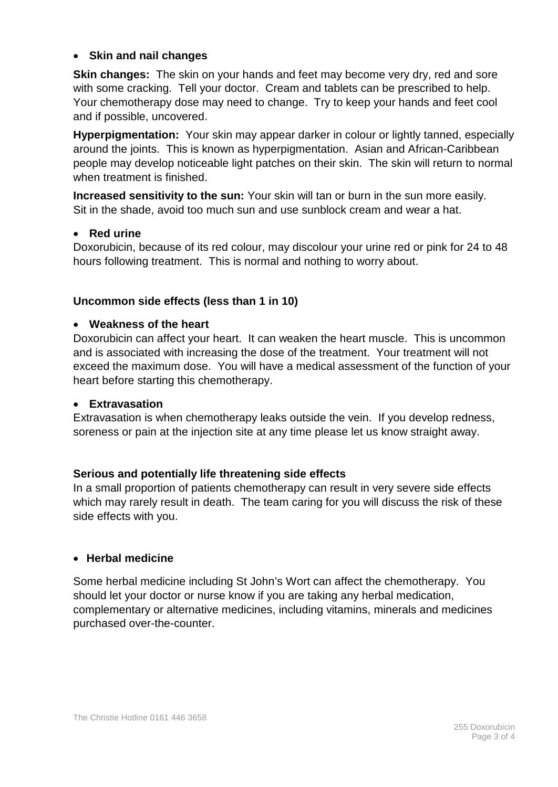#### • **Skin and nail changes**

**Skin changes:** The skin on your hands and feet may become very dry, red and sore with some cracking. Tell your doctor. Cream and tablets can be prescribed to help. Your chemotherapy dose may need to change. Try to keep your hands and feet cool and if possible, uncovered.

**Hyperpigmentation:** Your skin may appear darker in colour or lightly tanned, especially around the joints. This is known as hyperpigmentation. Asian and African-Caribbean people may develop noticeable light patches on their skin. The skin will return to normal when treatment is finished.

**Increased sensitivity to the sun:** Your skin will tan or burn in the sun more easily. Sit in the shade, avoid too much sun and use sunblock cream and wear a hat.

#### • **Red urine**

Doxorubicin, because of its red colour, may discolour your urine red or pink for 24 to 48 hours following treatment. This is normal and nothing to worry about.

#### **Uncommon side effects (less than 1 in 10)**

#### • **Weakness of the heart**

Doxorubicin can affect your heart. It can weaken the heart muscle. This is uncommon and is associated with increasing the dose of the treatment. Your treatment will not exceed the maximum dose. You will have a medical assessment of the function of your heart before starting this chemotherapy.

#### • **Extravasation**

Extravasation is when chemotherapy leaks outside the vein. If you develop redness, soreness or pain at the injection site at any time please let us know straight away.

#### **Serious and potentially life threatening side effects**

In a small proportion of patients chemotherapy can result in very severe side effects which may rarely result in death. The team caring for you will discuss the risk of these side effects with you.

#### • **Herbal medicine**

Some herbal medicine including St John's Wort can affect the chemotherapy. You should let your doctor or nurse know if you are taking any herbal medication, complementary or alternative medicines, including vitamins, minerals and medicines purchased over-the-counter.